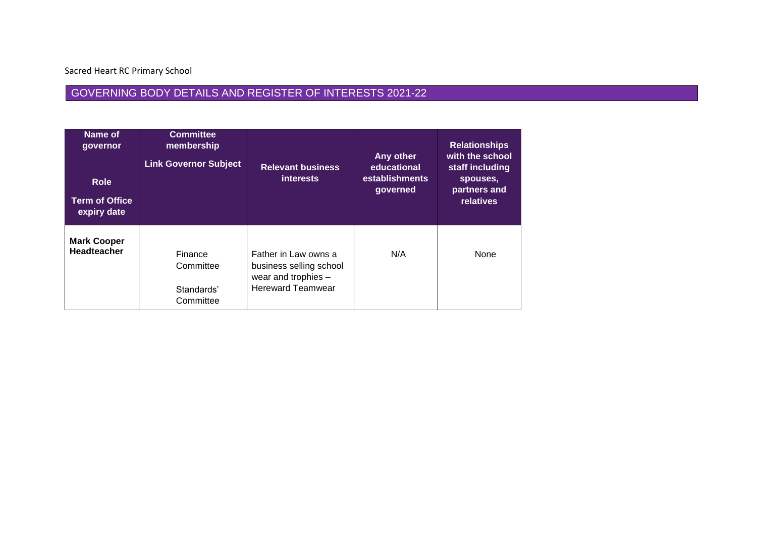Sacred Heart RC Primary School

## GOVERNING BODY DETAILS AND REGISTER OF INTERESTS 2021-22

| Name of<br>governor<br><b>Role</b><br><b>Term of Office</b><br>expiry date | <b>Committee</b><br>membership<br><b>Link Governor Subject</b> | <b>Relevant business</b><br><i>interests</i>                                                       | Any other<br>educational<br>establishments<br>governed | <b>Relationships</b><br>with the school<br>staff including<br>spouses,<br>partners and<br>relatives |
|----------------------------------------------------------------------------|----------------------------------------------------------------|----------------------------------------------------------------------------------------------------|--------------------------------------------------------|-----------------------------------------------------------------------------------------------------|
| <b>Mark Cooper</b><br><b>Headteacher</b>                                   | Finance<br>Committee<br>Standards'<br>Committee                | Father in Law owns a<br>business selling school<br>wear and trophies -<br><b>Hereward Teamwear</b> | N/A                                                    | None                                                                                                |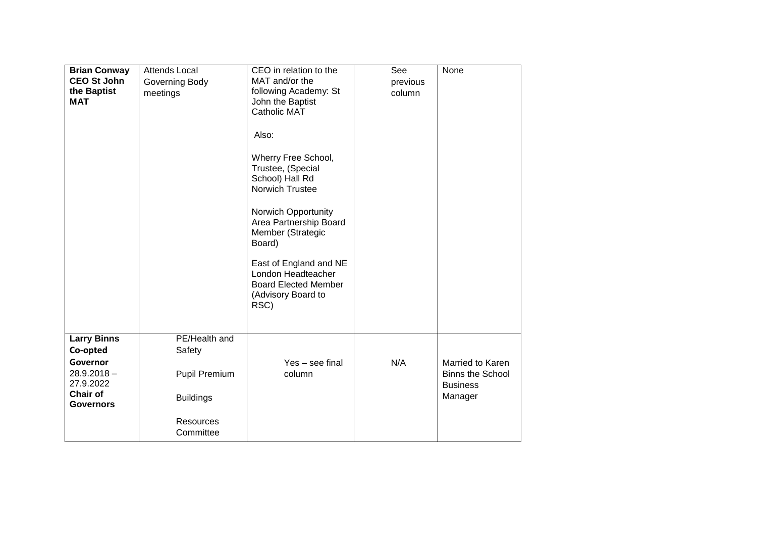| <b>Brian Conway</b><br><b>CEO St John</b><br>the Baptist<br><b>MAT</b> | <b>Attends Local</b><br>Governing Body<br>meetings | CEO in relation to the<br>MAT and/or the<br>following Academy: St<br>John the Baptist<br><b>Catholic MAT</b><br>Also:<br>Wherry Free School,<br>Trustee, (Special<br>School) Hall Rd<br>Norwich Trustee<br>Norwich Opportunity<br>Area Partnership Board<br>Member (Strategic<br>Board)<br>East of England and NE<br>London Headteacher<br><b>Board Elected Member</b><br>(Advisory Board to<br>RSC) | See<br>previous<br>column | None                                                  |
|------------------------------------------------------------------------|----------------------------------------------------|------------------------------------------------------------------------------------------------------------------------------------------------------------------------------------------------------------------------------------------------------------------------------------------------------------------------------------------------------------------------------------------------------|---------------------------|-------------------------------------------------------|
|                                                                        |                                                    |                                                                                                                                                                                                                                                                                                                                                                                                      |                           |                                                       |
| <b>Larry Binns</b><br>Co-opted<br>Governor                             | PE/Health and<br>Safety                            | Yes - see final                                                                                                                                                                                                                                                                                                                                                                                      | N/A                       | Married to Karen                                      |
| 28.9.2018-<br>27.9.2022<br><b>Chair of</b><br><b>Governors</b>         | Pupil Premium<br><b>Buildings</b>                  | column                                                                                                                                                                                                                                                                                                                                                                                               |                           | <b>Binns the School</b><br><b>Business</b><br>Manager |
|                                                                        | <b>Resources</b><br>Committee                      |                                                                                                                                                                                                                                                                                                                                                                                                      |                           |                                                       |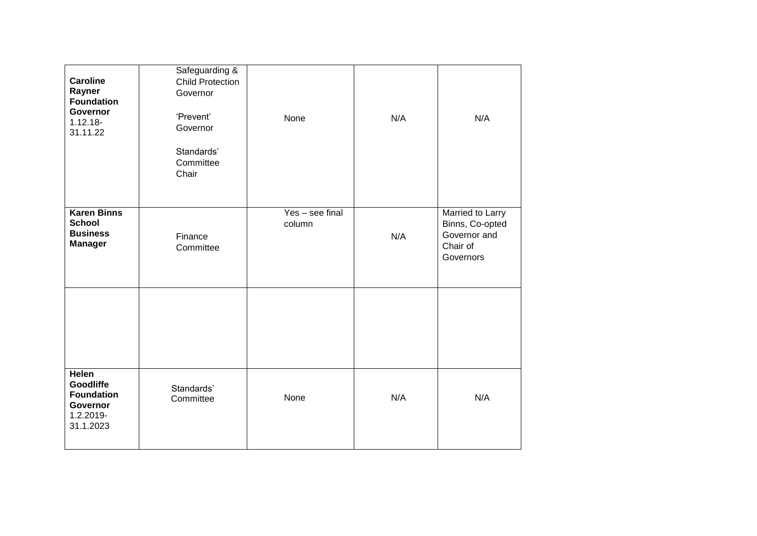| <b>Caroline</b><br>Rayner<br><b>Foundation</b><br>Governor<br>$1.12.18 -$<br>31.11.22 | Safeguarding &<br><b>Child Protection</b><br>Governor<br>'Prevent'<br>Governor<br>Standards'<br>Committee<br>Chair | None                      | N/A | N/A                                                                          |
|---------------------------------------------------------------------------------------|--------------------------------------------------------------------------------------------------------------------|---------------------------|-----|------------------------------------------------------------------------------|
| <b>Karen Binns</b><br><b>School</b><br><b>Business</b><br><b>Manager</b>              | Finance<br>Committee                                                                                               | Yes - see final<br>column | N/A | Married to Larry<br>Binns, Co-opted<br>Governor and<br>Chair of<br>Governors |
|                                                                                       |                                                                                                                    |                           |     |                                                                              |
| Helen<br><b>Goodliffe</b><br><b>Foundation</b><br>Governor<br>1.2.2019-<br>31.1.2023  | Standards'<br>Committee                                                                                            | None                      | N/A | N/A                                                                          |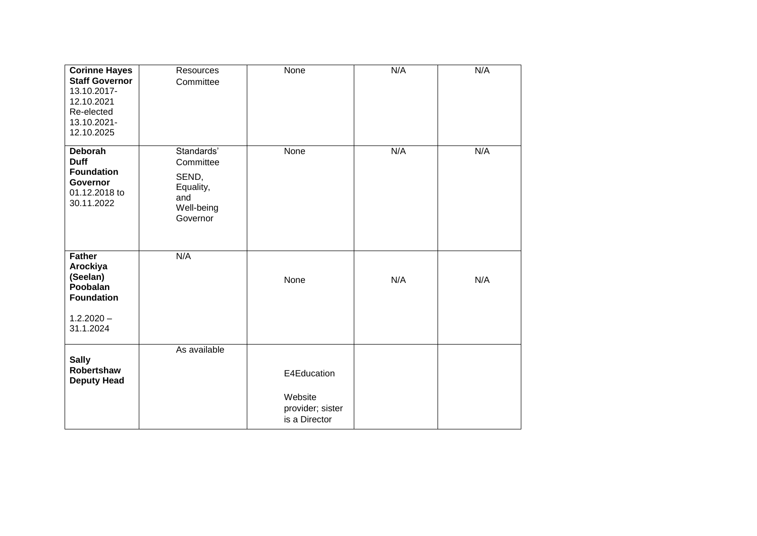| <b>Corinne Hayes</b><br><b>Staff Governor</b><br>13.10.2017-<br>12.10.2021<br>Re-elected<br>13.10.2021-<br>12.10.2025 | Resources<br>Committee                                                         | None                                                        | N/A | N/A |
|-----------------------------------------------------------------------------------------------------------------------|--------------------------------------------------------------------------------|-------------------------------------------------------------|-----|-----|
| <b>Deborah</b><br><b>Duff</b><br><b>Foundation</b><br><b>Governor</b><br>01.12.2018 to<br>30.11.2022                  | Standards'<br>Committee<br>SEND,<br>Equality,<br>and<br>Well-being<br>Governor | None                                                        | N/A | N/A |
| <b>Father</b><br>Arockiya<br>(Seelan)<br>Poobalan<br><b>Foundation</b><br>$1.2.2020 -$<br>31.1.2024                   | N/A                                                                            | None                                                        | N/A | N/A |
| <b>Sally</b><br>Robertshaw<br><b>Deputy Head</b>                                                                      | As available                                                                   | E4Education<br>Website<br>provider; sister<br>is a Director |     |     |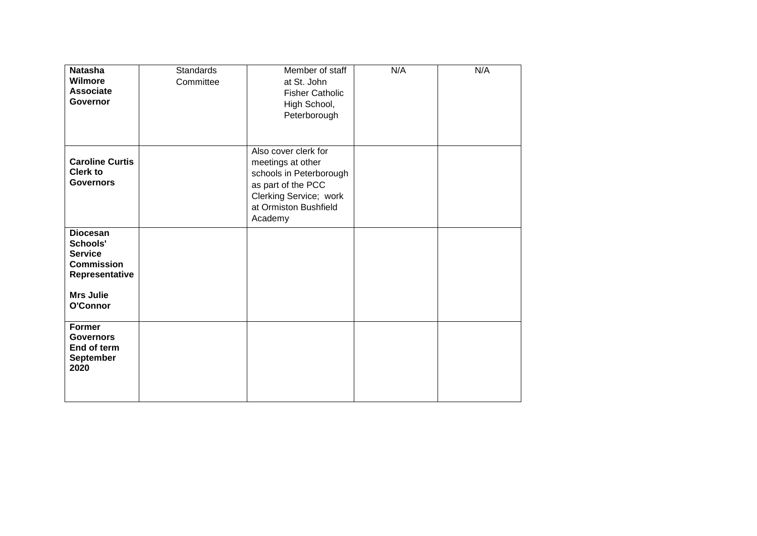| <b>Natasha</b><br>Wilmore<br><b>Associate</b><br>Governor                                                            | <b>Standards</b><br>Committee | Member of staff<br>at St. John<br><b>Fisher Catholic</b><br>High School,<br>Peterborough                                                                 | N/A | N/A |
|----------------------------------------------------------------------------------------------------------------------|-------------------------------|----------------------------------------------------------------------------------------------------------------------------------------------------------|-----|-----|
| <b>Caroline Curtis</b><br><b>Clerk to</b><br><b>Governors</b>                                                        |                               | Also cover clerk for<br>meetings at other<br>schools in Peterborough<br>as part of the PCC<br>Clerking Service; work<br>at Ormiston Bushfield<br>Academy |     |     |
| <b>Diocesan</b><br>Schools'<br><b>Service</b><br><b>Commission</b><br>Representative<br><b>Mrs Julie</b><br>O'Connor |                               |                                                                                                                                                          |     |     |
| <b>Former</b><br><b>Governors</b><br>End of term<br>September<br>2020                                                |                               |                                                                                                                                                          |     |     |